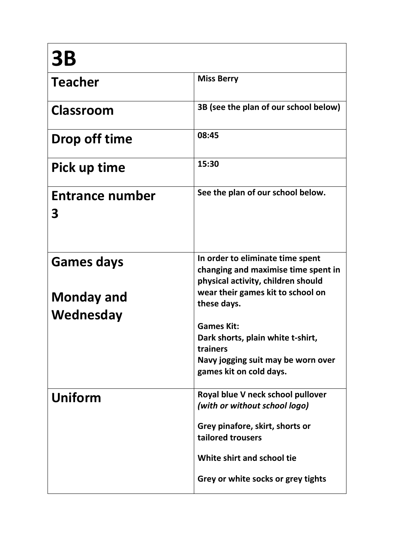| <b>3B</b>                                           |                                                                                                                                                                                                                                                                                                          |
|-----------------------------------------------------|----------------------------------------------------------------------------------------------------------------------------------------------------------------------------------------------------------------------------------------------------------------------------------------------------------|
| <b>Teacher</b>                                      | <b>Miss Berry</b>                                                                                                                                                                                                                                                                                        |
| <b>Classroom</b>                                    | 3B (see the plan of our school below)                                                                                                                                                                                                                                                                    |
| Drop off time                                       | 08:45                                                                                                                                                                                                                                                                                                    |
| Pick up time                                        | 15:30                                                                                                                                                                                                                                                                                                    |
| <b>Entrance number</b><br>3                         | See the plan of our school below.                                                                                                                                                                                                                                                                        |
| <b>Games days</b><br><b>Monday and</b><br>Wednesday | In order to eliminate time spent<br>changing and maximise time spent in<br>physical activity, children should<br>wear their games kit to school on<br>these days.<br><b>Games Kit:</b><br>Dark shorts, plain white t-shirt,<br>trainers<br>Navy jogging suit may be worn over<br>games kit on cold days. |
| Uniform                                             | Royal blue V neck school pullover<br>(with or without school logo)<br>Grey pinafore, skirt, shorts or<br>tailored trousers<br>White shirt and school tie<br>Grey or white socks or grey tights                                                                                                           |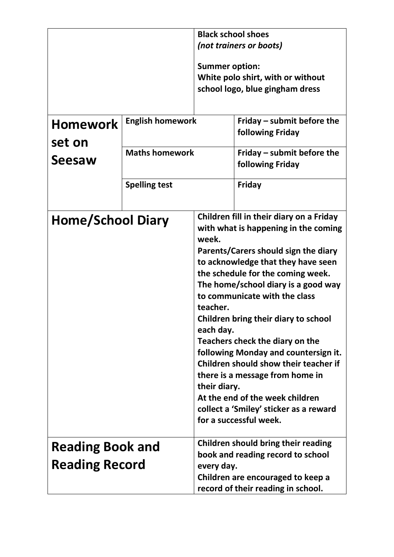|                                                  |                         | <b>Black school shoes</b>                      |                                                                                                                                                                                                                                                                                                                                                                                                                                                                                                                                                                                   |
|--------------------------------------------------|-------------------------|------------------------------------------------|-----------------------------------------------------------------------------------------------------------------------------------------------------------------------------------------------------------------------------------------------------------------------------------------------------------------------------------------------------------------------------------------------------------------------------------------------------------------------------------------------------------------------------------------------------------------------------------|
|                                                  |                         |                                                | (not trainers or boots)                                                                                                                                                                                                                                                                                                                                                                                                                                                                                                                                                           |
|                                                  |                         | <b>Summer option:</b>                          | White polo shirt, with or without<br>school logo, blue gingham dress                                                                                                                                                                                                                                                                                                                                                                                                                                                                                                              |
| <b>Homework</b>                                  | <b>English homework</b> |                                                | Friday – submit before the<br>following Friday                                                                                                                                                                                                                                                                                                                                                                                                                                                                                                                                    |
| set on<br><b>Maths homework</b><br>Seesaw        |                         | Friday – submit before the<br>following Friday |                                                                                                                                                                                                                                                                                                                                                                                                                                                                                                                                                                                   |
|                                                  | <b>Spelling test</b>    |                                                | <b>Friday</b>                                                                                                                                                                                                                                                                                                                                                                                                                                                                                                                                                                     |
| <b>Home/School Diary</b>                         |                         | week.<br>teacher.<br>each day.<br>their diary. | Children fill in their diary on a Friday<br>with what is happening in the coming<br>Parents/Carers should sign the diary<br>to acknowledge that they have seen<br>the schedule for the coming week.<br>The home/school diary is a good way<br>to communicate with the class<br>Children bring their diary to school<br>Teachers check the diary on the<br>following Monday and countersign it.<br>Children should show their teacher if<br>there is a message from home in<br>At the end of the week children<br>collect a 'Smiley' sticker as a reward<br>for a successful week. |
| <b>Reading Book and</b><br><b>Reading Record</b> |                         | every day.                                     | Children should bring their reading<br>book and reading record to school<br>Children are encouraged to keep a<br>record of their reading in school.                                                                                                                                                                                                                                                                                                                                                                                                                               |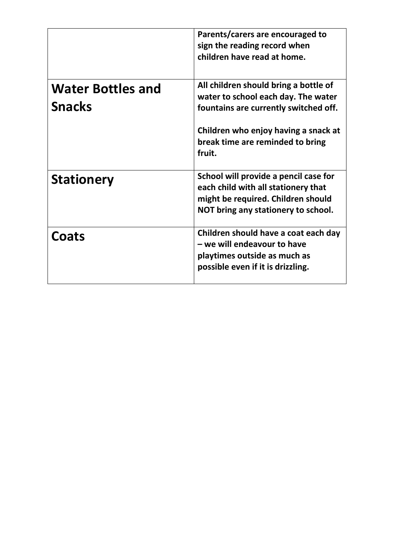|                                           | Parents/carers are encouraged to<br>sign the reading record when<br>children have read at home.                                                                                                             |
|-------------------------------------------|-------------------------------------------------------------------------------------------------------------------------------------------------------------------------------------------------------------|
| <b>Water Bottles and</b><br><b>Snacks</b> | All children should bring a bottle of<br>water to school each day. The water<br>fountains are currently switched off.<br>Children who enjoy having a snack at<br>break time are reminded to bring<br>fruit. |
| <b>Stationery</b>                         | School will provide a pencil case for<br>each child with all stationery that<br>might be required. Children should<br>NOT bring any stationery to school.                                                   |
| Coats                                     | Children should have a coat each day<br>- we will endeavour to have<br>playtimes outside as much as<br>possible even if it is drizzling.                                                                    |